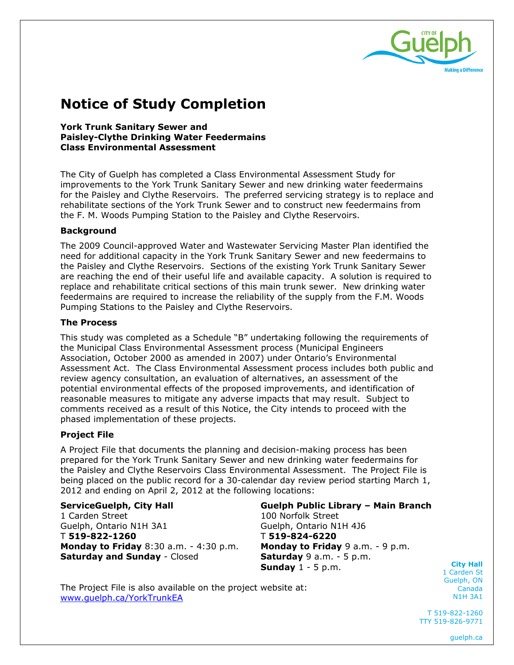

# **Notice of Study Completion**

**York Trunk Sanitary Sewer and Paisley-Clythe Drinking Water Feedermains Class Environmental Assessment** 

The City of Guelph has completed a Class Environmental Assessment Study for improvements to the York Trunk Sanitary Sewer and new drinking water feedermains for the Paisley and Clythe Reservoirs. The preferred servicing strategy is to replace and rehabilitate sections of the York Trunk Sewer and to construct new feedermains from the F. M. Woods Pumping Station to the Paisley and Clythe Reservoirs.

## **Background**

The 2009 Council-approved Water and Wastewater Servicing Master Plan identified the need for additional capacity in the York Trunk Sanitary Sewer and new feedermains to the Paisley and Clythe Reservoirs. Sections of the existing York Trunk Sanitary Sewer are reaching the end of their useful life and available capacity. A solution is required to replace and rehabilitate critical sections of this main trunk sewer. New drinking water feedermains are required to increase the reliability of the supply from the F.M. Woods Pumping Stations to the Paisley and Clythe Reservoirs.

### **The Process**

This study was completed as a Schedule "B" undertaking following the requirements of the Municipal Class Environmental Assessment process (Municipal Engineers Association, October 2000 as amended in 2007) under Ontario's Environmental Assessment Act. The Class Environmental Assessment process includes both public and review agency consultation, an evaluation of alternatives, an assessment of the potential environmental effects of the proposed improvements, and identification of reasonable measures to mitigate any adverse impacts that may result. Subject to comments received as a result of this Notice, the City intends to proceed with the phased implementation of these projects.

## **Project File**

A Project File that documents the planning and decision-making process has been prepared for the York Trunk Sanitary Sewer and new drinking water feedermains for the Paisley and Clythe Reservoirs Class Environmental Assessment. The Project File is being placed on the public record for a 30-calendar day review period starting March 1, 2012 and ending on April 2, 2012 at the following locations:

1 Carden Street 100 Norfolk Street Guelph, Ontario N1H 3A1 Guelph, Ontario N1H 4J6 T **519-822-1260** T **519-824-6220 Monday to Friday** 8:30 a.m. - 4:30 p.m. **Monday to Friday** 9 a.m. - 9 p.m. **Saturday and Sunday** - Closed **Saturday** 9 a.m. - 5 p.m.

# **ServiceGuelph, City Hall Guelph Public Library – Main Branch**

**Sunday** 1 - 5 p.m.

The Project File is also available on the project website at: www.guelph.ca/YorkTrunkEA

**City Hall**  1 Carden St Guelph, ON Canada N1H 3A1

T 519-822-1260 TTY 519-826-9771